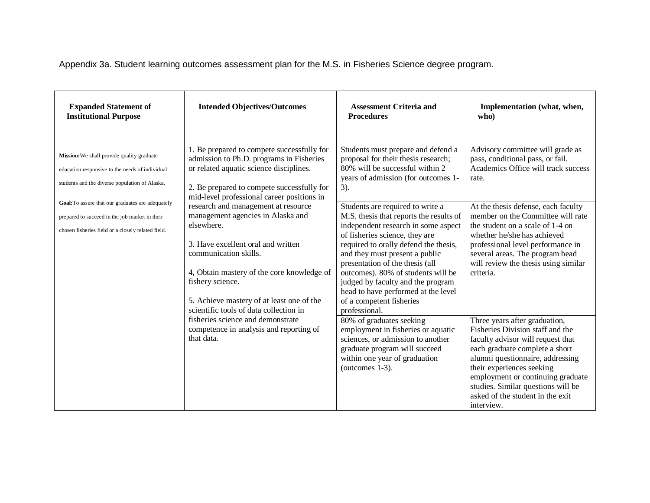Appendix 3a. Student learning outcomes assessment plan for the M.S. in Fisheries Science degree program.

| <b>Expanded Statement of</b><br><b>Institutional Purpose</b>                                                                                              | <b>Intended Objectives/Outcomes</b>                                                                                                                                                                                                                                                                                                                                                                                                                                                                                                                                                                                                           | <b>Assessment Criteria and</b><br><b>Procedures</b>                                                                                                                                                                                                                                                                                                                                                                               | Implementation (what, when,<br>who)                                                                                                                                                                                                                                                                                                    |
|-----------------------------------------------------------------------------------------------------------------------------------------------------------|-----------------------------------------------------------------------------------------------------------------------------------------------------------------------------------------------------------------------------------------------------------------------------------------------------------------------------------------------------------------------------------------------------------------------------------------------------------------------------------------------------------------------------------------------------------------------------------------------------------------------------------------------|-----------------------------------------------------------------------------------------------------------------------------------------------------------------------------------------------------------------------------------------------------------------------------------------------------------------------------------------------------------------------------------------------------------------------------------|----------------------------------------------------------------------------------------------------------------------------------------------------------------------------------------------------------------------------------------------------------------------------------------------------------------------------------------|
| Mission: We shall provide quality graduate<br>education responsive to the needs of individual<br>students and the diverse population of Alaska.           | 1. Be prepared to compete successfully for<br>admission to Ph.D. programs in Fisheries<br>or related aquatic science disciplines.<br>2. Be prepared to compete successfully for<br>mid-level professional career positions in<br>research and management at resource<br>management agencies in Alaska and<br>elsewhere.<br>3. Have excellent oral and written<br>communication skills.<br>4, Obtain mastery of the core knowledge of<br>fishery science.<br>5. Achieve mastery of at least one of the<br>scientific tools of data collection in<br>fisheries science and demonstrate<br>competence in analysis and reporting of<br>that data. | Students must prepare and defend a<br>proposal for their thesis research;<br>80% will be successful within 2<br>years of admission (for outcomes 1-<br>$3)$ .                                                                                                                                                                                                                                                                     | Advisory committee will grade as<br>pass, conditional pass, or fail.<br>Academics Office will track success<br>rate.                                                                                                                                                                                                                   |
| Goal: To assure that our graduates are adequately<br>prepared to succeed in the job market in their<br>chosen fisheries field or a closely related field. |                                                                                                                                                                                                                                                                                                                                                                                                                                                                                                                                                                                                                                               | Students are required to write a<br>M.S. thesis that reports the results of<br>independent research in some aspect<br>of fisheries science, they are<br>required to orally defend the thesis,<br>and they must present a public<br>presentation of the thesis (all<br>outcomes). 80% of students will be<br>judged by faculty and the program<br>head to have performed at the level<br>of a competent fisheries<br>professional. | At the thesis defense, each faculty<br>member on the Committee will rate<br>the student on a scale of 1-4 on<br>whether he/she has achieved<br>professional level performance in<br>several areas. The program head<br>will review the thesis using similar<br>criteria.                                                               |
|                                                                                                                                                           |                                                                                                                                                                                                                                                                                                                                                                                                                                                                                                                                                                                                                                               | 80% of graduates seeking<br>employment in fisheries or aquatic<br>sciences, or admission to another<br>graduate program will succeed<br>within one year of graduation<br>(outcomes 1-3).                                                                                                                                                                                                                                          | Three years after graduation,<br>Fisheries Division staff and the<br>faculty advisor will request that<br>each graduate complete a short<br>alumni questionnaire, addressing<br>their experiences seeking<br>employment or continuing graduate<br>studies. Similar questions will be<br>asked of the student in the exit<br>interview. |